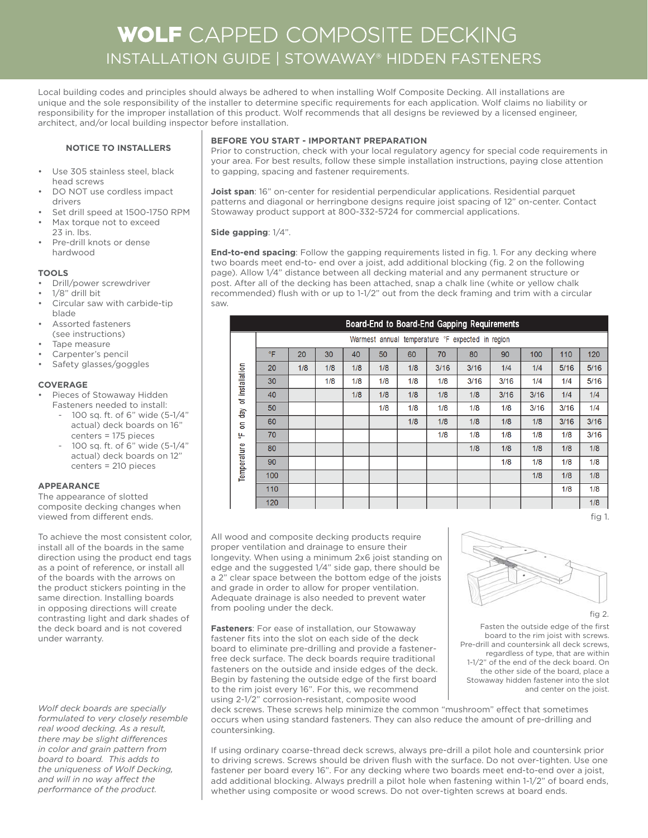## WOLF CAPPED COMPOSITE DECKING INSTALLATION GUIDE | STOWAWAY® HIDDEN FASTENERS

Local building codes and principles should always be adhered to when installing Wolf Composite Decking. All installations are unique and the sole responsibility of the installer to determine specific requirements for each application. Wolf claims no liability or responsibility for the improper installation of this product. Wolf recommends that all designs be reviewed by a licensed engineer, architect, and/or local building inspector before installation.

#### **NOTICE TO INSTALLERS**

- Use 305 stainless steel, black head screws
- DO NOT use cordless impact drivers
- Set drill speed at 1500-1750 RPM
- Max torque not to exceed
- 23 in. lbs. • Pre-drill knots or dense hardwood
- **TOOLS**
- Drill/power screwdriver
- 1/8" drill bit
- Circular saw with carbide-tip blade
- Assorted fasteners (see instructions)
- Tape measure
- Carpenter's pencil
- Safety glasses/goggles

## **COVERAGE**

- Pieces of Stowaway Hidden Fasteners needed to install:
	- 100 sq. ft. of 6" wide (5-1/4" actual) deck boards on 16" centers = 175 pieces
	- 100 sq. ft. of 6" wide (5-1/4" actual) deck boards on 12" centers = 210 pieces

#### **APPEARANCE**

The appearance of slotted composite decking changes when viewed from different ends.

To achieve the most consistent color, install all of the boards in the same direction using the product end tags as a point of reference, or install all of the boards with the arrows on the product stickers pointing in the same direction. Installing boards in opposing directions will create contrasting light and dark shades of the deck board and is not covered under warranty.

*Wolf deck boards are specially formulated to very closely resemble real wood decking. As a result,*  there may be slight differences *in color and grain pattern from board to board. This adds to the uniqueness of Wolf Decking,*  and will in no way affect the *performance of the product.*

## **BEFORE YOU START - IMPORTANT PREPARATION**

Prior to construction, check with your local regulatory agency for special code requirements in your area. For best results, follow these simple installation instructions, paying close attention to gapping, spacing and fastener requirements.

**Joist span**: 16" on-center for residential perpendicular applications. Residential parquet patterns and diagonal or herringbone designs require joist spacing of 12" on-center. Contact Stowaway product support at 800-332-5724 for commercial applications.

## **Side gapping**: 1/4".

**End-to-end spacing**: Follow the gapping requirements listed in fig. 1. For any decking where two boards meet end-to- end over a joist, add additional blocking (fig. 2 on the following page). Allow 1/4" distance between all decking material and any permanent structure or post. After all of the decking has been attached, snap a chalk line (white or yellow chalk recommended) flush with or up to 1-1/2" out from the deck framing and trim with a circular saw.

|                                                | Board-End to Board-End Gapping Requirements      |     |     |     |     |     |      |      |      |      |      |      |  |
|------------------------------------------------|--------------------------------------------------|-----|-----|-----|-----|-----|------|------|------|------|------|------|--|
|                                                | Warmest annual temperature °F expected in region |     |     |     |     |     |      |      |      |      |      |      |  |
| of installation<br>δę<br>ā<br>黑<br>Temperature | °F                                               | 20  | 30  | 40  | 50  | 60  | 70   | 80   | 90   | 100  | 110  | 120  |  |
|                                                | 20                                               | 1/8 | 1/8 | 1/8 | 1/8 | 1/8 | 3/16 | 3/16 | 1/4  | 1/4  | 5/16 | 5/16 |  |
|                                                | 30                                               |     | 1/8 | 1/8 | 1/8 | 1/8 | 1/8  | 3/16 | 3/16 | 1/4  | 1/4  | 5/16 |  |
|                                                | 40                                               |     |     | 1/8 | 1/8 | 1/8 | 1/8  | 1/8  | 3/16 | 3/16 | 1/4  | 1/4  |  |
|                                                | 50                                               |     |     |     | 1/8 | 1/8 | 1/8  | 1/8  | 1/8  | 3/16 | 3/16 | 1/4  |  |
|                                                | 60                                               |     |     |     |     | 1/8 | 1/8  | 1/8  | 1/8  | 1/8  | 3/16 | 3/16 |  |
|                                                | 70                                               |     |     |     |     |     | 1/8  | 1/8  | 1/8  | 1/8  | 1/8  | 3/16 |  |
|                                                | 80                                               |     |     |     |     |     |      | 1/8  | 1/8  | 1/8  | 1/8  | 1/8  |  |
|                                                | 90                                               |     |     |     |     |     |      |      | 1/8  | 1/8  | 1/8  | 1/8  |  |
|                                                | 100                                              |     |     |     |     |     |      |      |      | 1/8  | 1/8  | 1/8  |  |
|                                                | 110                                              |     |     |     |     |     |      |      |      |      | 1/8  | 1/8  |  |
|                                                | 120                                              |     |     |     |     |     |      |      |      |      |      | 1/8  |  |

All wood and composite decking products require proper ventilation and drainage to ensure their longevity. When using a minimum 2x6 joist standing on edge and the suggested 1/4" side gap, there should be a 2" clear space between the bottom edge of the joists and grade in order to allow for proper ventilation. Adequate drainage is also needed to prevent water from pooling under the deck.

**Fasteners**: For ease of installation, our Stowaway fastener fits into the slot on each side of the deck board to eliminate pre-drilling and provide a fastenerfree deck surface. The deck boards require traditional fasteners on the outside and inside edges of the deck. Begin by fastening the outside edge of the first board to the rim joist every 16". For this, we recommend using 2-1/2" corrosion-resistant, composite wood



fig 2.

Fasten the outside edge of the first board to the rim joist with screws. Pre-drill and countersink all deck screws, regardless of type, that are within 1-1/2" of the end of the deck board. On the other side of the board, place a Stowaway hidden fastener into the slot and center on the joist.

deck screws. These screws help minimize the common "mushroom" effect that sometimes occurs when using standard fasteners. They can also reduce the amount of pre-drilling and countersinking.

If using ordinary coarse-thread deck screws, always pre-drill a pilot hole and countersink prior to driving screws. Screws should be driven flush with the surface. Do not over-tighten. Use one fastener per board every 16". For any decking where two boards meet end-to-end over a joist, add additional blocking. Always predrill a pilot hole when fastening within 1-1/2" of board ends, whether using composite or wood screws. Do not over-tighten screws at board ends.